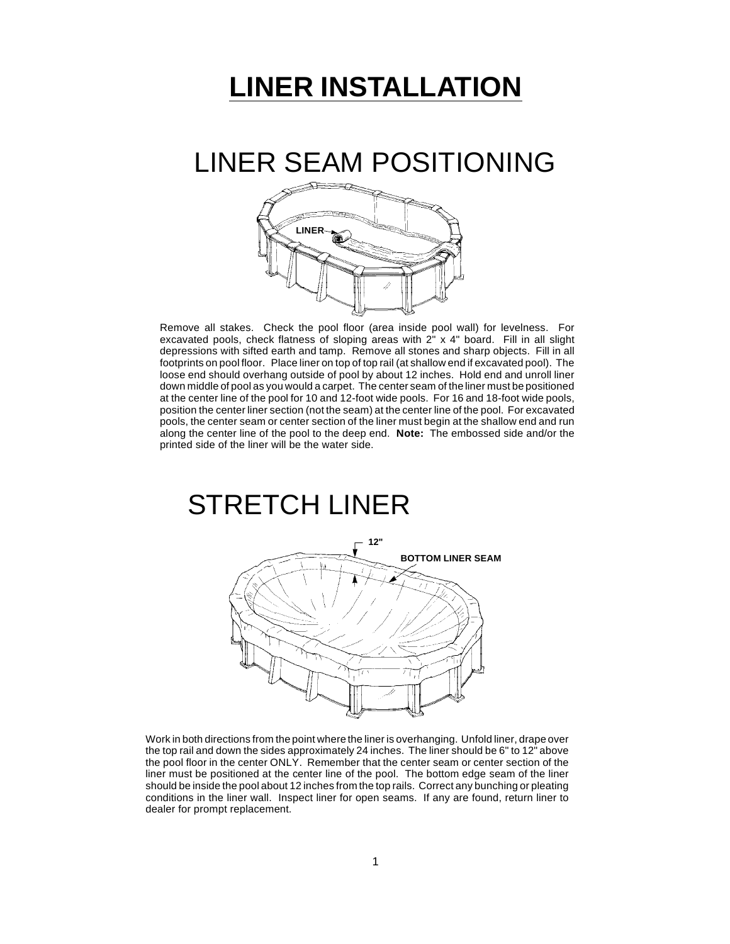# **LINER INSTALLATION**

### LINER SEAM POSITIONING



Remove all stakes. Check the pool floor (area inside pool wall) for levelness. For excavated pools, check flatness of sloping areas with 2" x 4" board. Fill in all slight depressions with sifted earth and tamp. Remove all stones and sharp objects. Fill in all footprints on pool floor. Place liner on top of top rail (at shallow end if excavated pool). The loose end should overhang outside of pool by about 12 inches. Hold end and unroll liner down middle of pool as you would a carpet. The center seam of the liner must be positioned at the center line of the pool for 10 and 12-foot wide pools. For 16 and 18-foot wide pools, position the center liner section (not the seam) at the center line of the pool. For excavated pools, the center seam or center section of the liner must begin at the shallow end and run along the center line of the pool to the deep end. **Note:** The embossed side and/or the printed side of the liner will be the water side.

### STRETCH LINER



Work in both directions from the point where the liner is overhanging. Unfold liner, drape over the top rail and down the sides approximately 24 inches. The liner should be 6" to 12" above the pool floor in the center ONLY. Remember that the center seam or center section of the liner must be positioned at the center line of the pool. The bottom edge seam of the liner should be inside the pool about 12 inches from the top rails. Correct any bunching or pleating conditions in the liner wall. Inspect liner for open seams. If any are found, return liner to dealer for prompt replacement.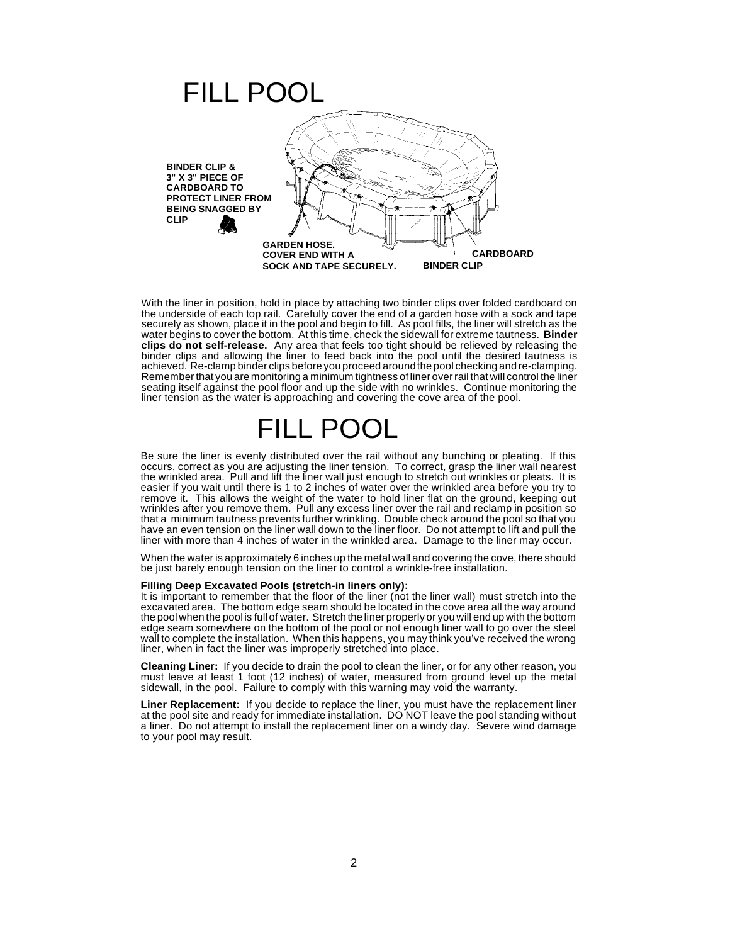

With the liner in position, hold in place by attaching two binder clips over folded cardboard on the underside of each top rail. Carefully cover the end of a garden hose with a sock and tape securely as shown, place it in the pool and begin to fill. As pool fills, the liner will stretch as the water begins to cover the bottom. At this time, check the sidewall for extreme tautness. **Binder clips do not self-release.** Any area that feels too tight should be relieved by releasing the binder clips and allowing the liner to feed back into the pool until the desired tautness is achieved. Re-clamp binder clips before you proceed around the pool checking and re-clamping. Remember that you are monitoring a minimum tightness of liner over rail that will control the liner seating itself against the pool floor and up the side with no wrinkles. Continue monitoring the liner tension as the water is approaching and covering the cove area of the pool.

### FILL POOL

Be sure the liner is evenly distributed over the rail without any bunching or pleating. If this occurs, correct as you are adjusting the liner tension. To correct, grasp the liner wall nearest the wrinkled area. Pull and lift the liner wall just enough to stretch out wrinkles or pleats. It is easier if you wait until there is 1 to 2 inches of water over the wrinkled area before you try to remove it. This allows the weight of the water to hold liner flat on the ground, keeping out wrinkles after you remove them. Pull any excess liner over the rail and reclamp in position so that a minimum tautness prevents further wrinkling. Double check around the pool so that you have an even tension on the liner wall down to the liner floor. Do not attempt to lift and pull the liner with more than 4 inches of water in the wrinkled area. Damage to the liner may occur.

When the water is approximately 6 inches up the metal wall and covering the cove, there should be just barely enough tension on the liner to control a wrinkle-free installation.

#### **Filling Deep Excavated Pools (stretch-in liners only):**

It is important to remember that the floor of the liner (not the liner wall) must stretch into the excavated area. The bottom edge seam should be located in the cove area all the way around the pool when the pool is full of water. Stretch the liner properly or you will end up with the bottom edge seam somewhere on the bottom of the pool or not enough liner wall to go over the steel wall to complete the installation. When this happens, you may think you've received the wrong liner, when in fact the liner was improperly stretched into place.

**Cleaning Liner:** If you decide to drain the pool to clean the liner, or for any other reason, you must leave at least 1 foot (12 inches) of water, measured from ground level up the metal sidewall, in the pool. Failure to comply with this warning may void the warranty.

**Liner Replacement:** If you decide to replace the liner, you must have the replacement liner at the pool site and ready for immediate installation. DO NOT leave the pool standing without a liner. Do not attempt to install the replacement liner on a windy day. Severe wind damage to your pool may result.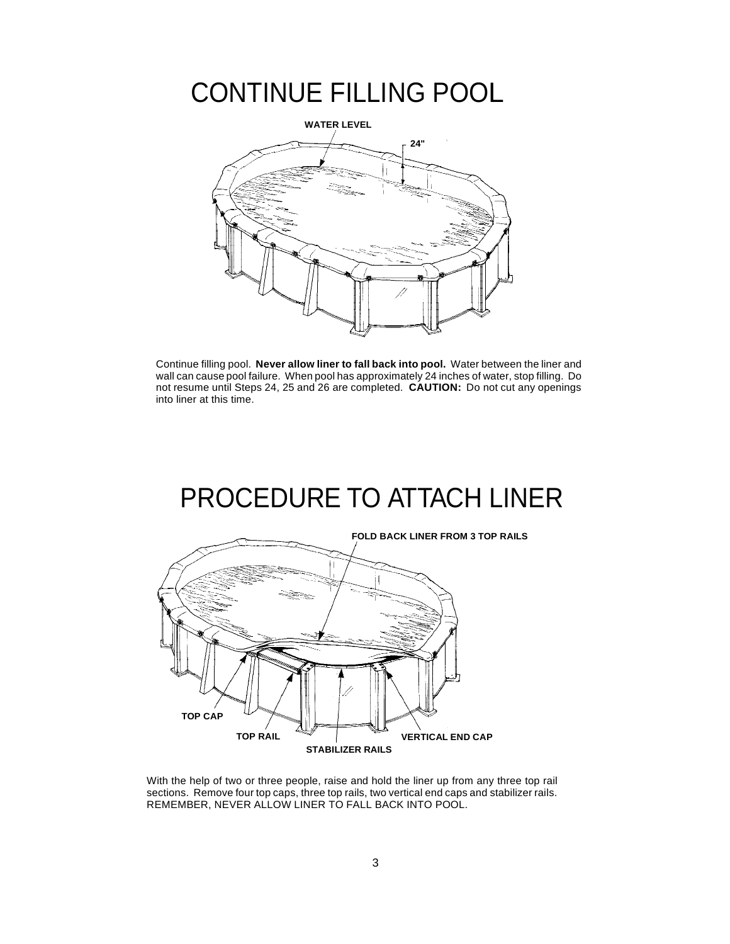## CONTINUE FILLING POOL



Continue filling pool. **Never allow liner to fall back into pool.** Water between the liner and wall can cause pool failure. When pool has approximately 24 inches of water, stop filling. Do not resume until Steps 24, 25 and 26 are completed. **CAUTION:** Do not cut any openings into liner at this time.

## PROCEDURE TO ATTACH LINER



With the help of two or three people, raise and hold the liner up from any three top rail sections. Remove four top caps, three top rails, two vertical end caps and stabilizer rails. REMEMBER, NEVER ALLOW LINER TO FALL BACK INTO POOL.